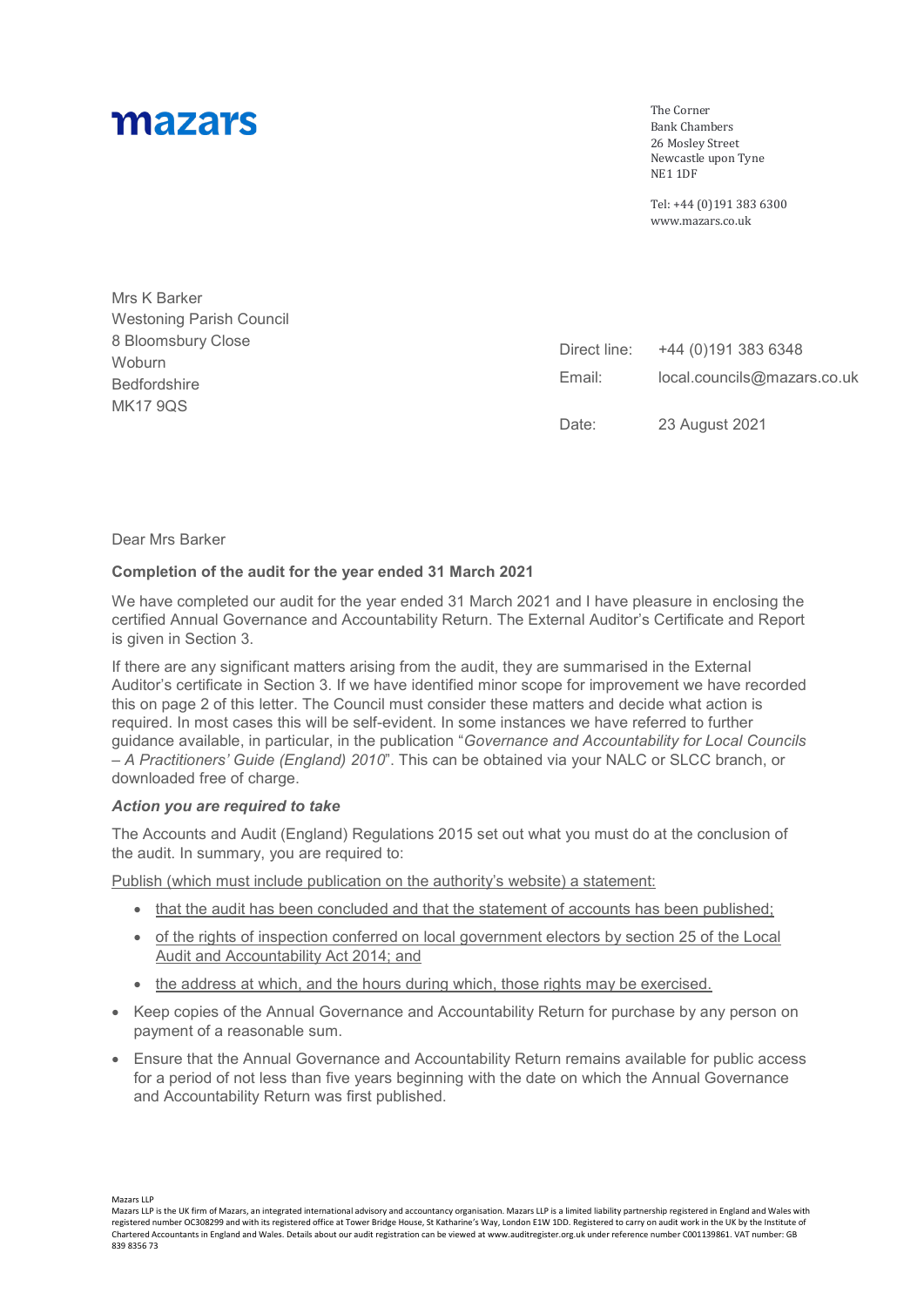# mazars

The Corner Bank Chambers 26 Mosley Street Newcastle upon Tyne NE1 1DF

Tel: +44 (0)191 383 6300 www.mazars.co.uk

| Mrs K Barker                    |                        |                                                    |
|---------------------------------|------------------------|----------------------------------------------------|
| <b>Westoning Parish Council</b> |                        |                                                    |
| 8 Bloomsbury Close              | Direct line:<br>Email: | +44 (0)191 383 6348<br>local.councils@mazars.co.uk |
| Woburn                          |                        |                                                    |
| <b>Bedfordshire</b>             |                        |                                                    |
| <b>MK17 9QS</b>                 |                        |                                                    |
|                                 | Date:                  | 23 August 2021                                     |

Dear Mrs Barker

### **Completion of the audit for the year ended 31 March 2021**

We have completed our audit for the year ended 31 March 2021 and I have pleasure in enclosing the certified Annual Governance and Accountability Return. The External Auditor's Certificate and Report is given in Section 3.

If there are any significant matters arising from the audit, they are summarised in the External Auditor's certificate in Section 3. If we have identified minor scope for improvement we have recorded this on page 2 of this letter. The Council must consider these matters and decide what action is required. In most cases this will be self-evident. In some instances we have referred to further guidance available, in particular, in the publication "*Governance and Accountability for Local Councils – A Practitioners' Guide (England) 2010*". This can be obtained via your NALC or SLCC branch, or downloaded free of charge.

### *Action you are required to take*

The Accounts and Audit (England) Regulations 2015 set out what you must do at the conclusion of the audit. In summary, you are required to:

Publish (which must include publication on the authority's website) a statement:

- that the audit has been concluded and that the statement of accounts has been published;
- of the rights of inspection conferred on local government electors by section 25 of the Local Audit and Accountability Act 2014; and
- the address at which, and the hours during which, those rights may be exercised.
- Keep copies of the Annual Governance and Accountability Return for purchase by any person on payment of a reasonable sum.
- Ensure that the Annual Governance and Accountability Return remains available for public access for a period of not less than five years beginning with the date on which the Annual Governance and Accountability Return was first published.

Mazars LLP

Mazars LLP is the UK firm of Mazars, an integrated international advisory and accountancy organisation. Mazars LLP is a limited liability partnership registered in England and Wales with registered number OC308299 and with its registered office at Tower Bridge House, St Katharine's Way, London E1W 1DD. Registered to carry on audit work in the UK by the Institute of Chartered Accountants in England and Wales. Details about our audit registration can be viewed at www.auditregister.org.uk under reference number C001139861. VAT number: GB 839 8356 73